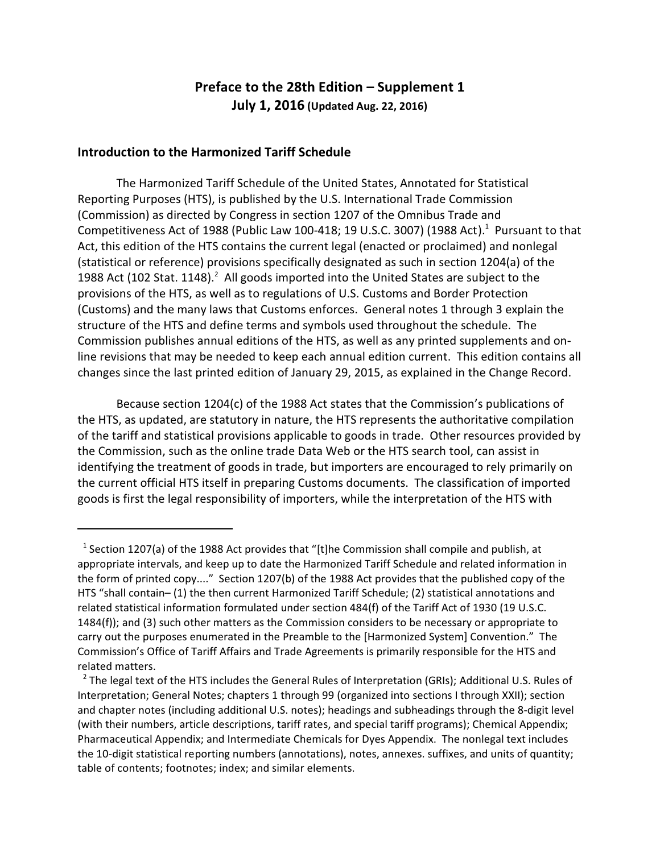## **Preface to the 28th Edition – Supplement 1 July 1, 2016 (Updated Aug. 22, 2016)**

## **Introduction to the Harmonized Tariff Schedule**

The Harmonized Tariff Schedule of the United States, Annotated for Statistical Reporting Purposes (HTS), is published by the U.S. International Trade Commission (Commission) as directed by Congress in section 1207 of the Omnibus Trade and Competitiveness Act of 1988 (Public Law 100-418; 19 U.S.C. 3007) (1988 Act). $^1$  Pursuant to that Act, this edition of the HTS contains the current legal (enacted or proclaimed) and nonlegal (statistical or reference) provisions specifically designated as such in section 1204(a) of the 1988 Act (102 Stat. 1148).<sup>2</sup> All goods imported into the United States are subject to the provisions of the HTS, as well as to regulations of U.S. Customs and Border Protection (Customs) and the many laws that Customs enforces. General notes 1 through 3 explain the structure of the HTS and define terms and symbols used throughout the schedule. The Commission publishes annual editions of the HTS, as well as any printed supplements and online revisions that may be needed to keep each annual edition current. This edition contains all changes since the last printed edition of January 29, 2015, as explained in the Change Record.

Because section 1204(c) of the 1988 Act states that the Commission's publications of the HTS, as updated, are statutory in nature, the HTS represents the authoritative compilation of the tariff and statistical provisions applicable to goods in trade. Other resources provided by the Commission, such as the online trade Data Web or the HTS search tool, can assist in identifying the treatment of goods in trade, but importers are encouraged to rely primarily on the current official HTS itself in preparing Customs documents. The classification of imported goods is first the legal responsibility of importers, while the interpretation of the HTS with

 $^1$  Section 1207(a) of the 1988 Act provides that "[t]he Commission shall compile and publish, at appropriate intervals, and keep up to date the Harmonized Tariff Schedule and related information in the form of printed copy...." Section 1207(b) of the 1988 Act provides that the published copy of the HTS "shall contain– (1) the then current Harmonized Tariff Schedule; (2) statistical annotations and related statistical information formulated under section 484(f) of the Tariff Act of 1930 (19 U.S.C. 1484(f)); and (3) such other matters as the Commission considers to be necessary or appropriate to carry out the purposes enumerated in the Preamble to the [Harmonized System] Convention." The Commission's Office of Tariff Affairs and Trade Agreements is primarily responsible for the HTS and related matters.

 $^2$  The legal text of the HTS includes the General Rules of Interpretation (GRIs); Additional U.S. Rules of Interpretation; General Notes; chapters 1 through 99 (organized into sections I through XXII); section and chapter notes (including additional U.S. notes); headings and subheadings through the 8-digit level (with their numbers, article descriptions, tariff rates, and special tariff programs); Chemical Appendix; Pharmaceutical Appendix; and Intermediate Chemicals for Dyes Appendix. The nonlegal text includes the 10-digit statistical reporting numbers (annotations), notes, annexes. suffixes, and units of quantity; table of contents; footnotes; index; and similar elements.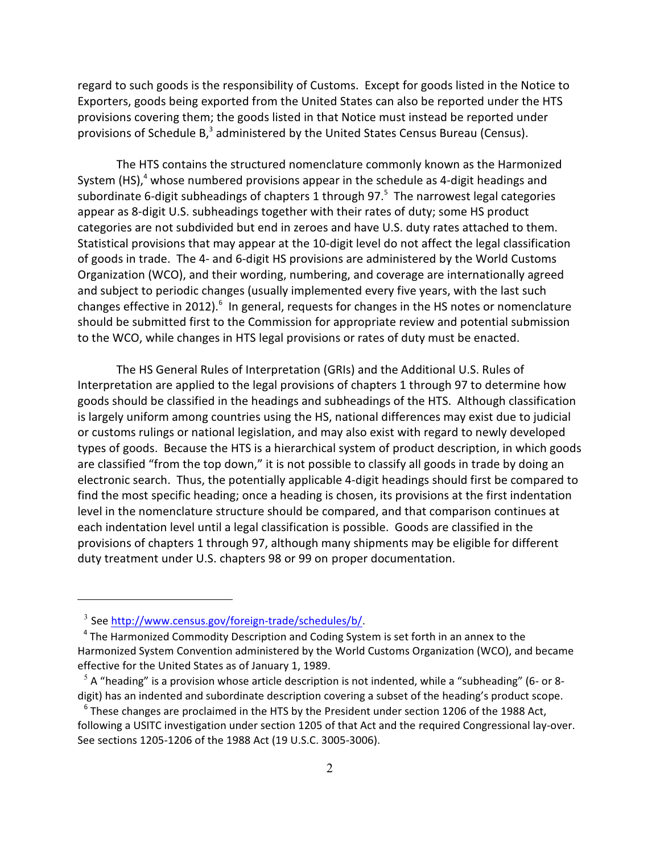regard to such goods is the responsibility of Customs. Except for goods listed in the Notice to Exporters, goods being exported from the United States can also be reported under the HTS provisions covering them; the goods listed in that Notice must instead be reported under provisions of Schedule B,<sup>3</sup> administered by the United States Census Bureau (Census).

The HTS contains the structured nomenclature commonly known as the Harmonized System (HS),<sup>4</sup> whose numbered provisions appear in the schedule as 4-digit headings and subordinate 6-digit subheadings of chapters 1 through 97. $^5$  The narrowest legal categories appear as 8-digit U.S. subheadings together with their rates of duty; some HS product categories are not subdivided but end in zeroes and have U.S. duty rates attached to them. Statistical provisions that may appear at the 10-digit level do not affect the legal classification of goods in trade. The 4- and 6-digit HS provisions are administered by the World Customs Organization (WCO), and their wording, numbering, and coverage are internationally agreed and subject to periodic changes (usually implemented every five years, with the last such changes effective in 2012). $^6$  In general, requests for changes in the HS notes or nomenclature should be submitted first to the Commission for appropriate review and potential submission to the WCO, while changes in HTS legal provisions or rates of duty must be enacted.

The HS General Rules of Interpretation (GRIs) and the Additional U.S. Rules of Interpretation are applied to the legal provisions of chapters 1 through 97 to determine how goods should be classified in the headings and subheadings of the HTS. Although classification is largely uniform among countries using the HS, national differences may exist due to judicial or customs rulings or national legislation, and may also exist with regard to newly developed types of goods. Because the HTS is a hierarchical system of product description, in which goods are classified "from the top down," it is not possible to classify all goods in trade by doing an electronic search. Thus, the potentially applicable 4-digit headings should first be compared to find the most specific heading; once a heading is chosen, its provisions at the first indentation level in the nomenclature structure should be compared, and that comparison continues at each indentation level until a legal classification is possible. Goods are classified in the provisions of chapters 1 through 97, although many shipments may be eligible for different duty treatment under U.S. chapters 98 or 99 on proper documentation.

<sup>&</sup>lt;sup>3</sup> See <http://www.census.gov/foreign-trade/schedules/b/>.

<sup>&</sup>lt;sup>4</sup> The Harmonized Commodity Description and Coding System is set forth in an annex to the Harmonized System Convention administered by the World Customs Organization (WCO), and became effective for the United States as of January 1, 1989.

 $<sup>5</sup>$  A "heading" is a provision whose article description is not indented, while a "subheading" (6- or 8-</sup> digit) has an indented and subordinate description covering a subset of the heading's product scope.

 $^6$  These changes are proclaimed in the HTS by the President under section 1206 of the 1988 Act, following a USITC investigation under section 1205 of that Act and the required Congressional lay-over. See sections 1205-1206 of the 1988 Act (19 U.S.C. 3005-3006).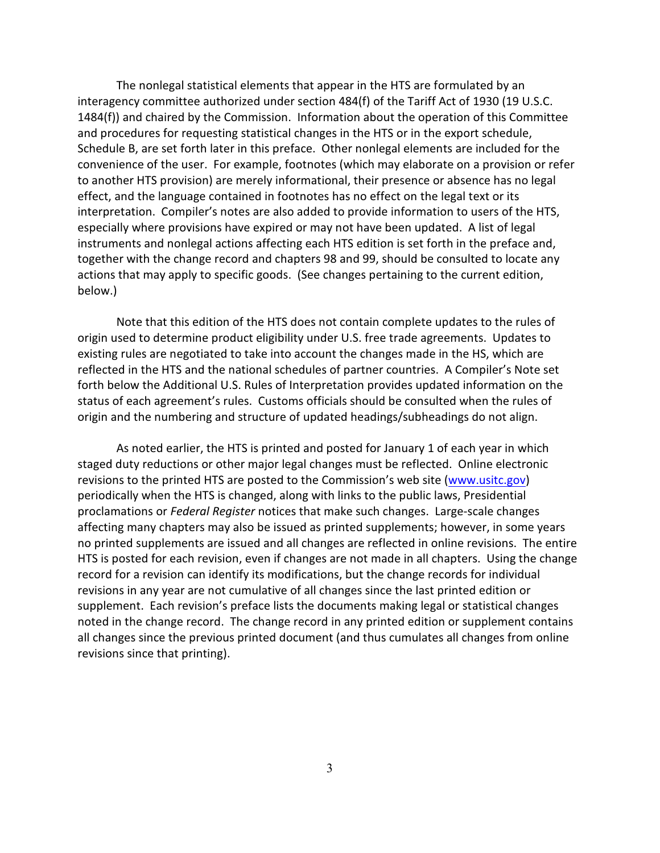The nonlegal statistical elements that appear in the HTS are formulated by an interagency committee authorized under section 484(f) of the Tariff Act of 1930 (19 U.S.C. 1484(f)) and chaired by the Commission. Information about the operation of this Committee and procedures for requesting statistical changes in the HTS or in the export schedule, Schedule B, are set forth later in this preface. Other nonlegal elements are included for the convenience of the user. For example, footnotes (which may elaborate on a provision or refer to another HTS provision) are merely informational, their presence or absence has no legal effect, and the language contained in footnotes has no effect on the legal text or its interpretation. Compiler's notes are also added to provide information to users of the HTS, especially where provisions have expired or may not have been updated. A list of legal instruments and nonlegal actions affecting each HTS edition is set forth in the preface and, together with the change record and chapters 98 and 99, should be consulted to locate any actions that may apply to specific goods. (See changes pertaining to the current edition, below.)

Note that this edition of the HTS does not contain complete updates to the rules of origin used to determine product eligibility under U.S. free trade agreements. Updates to existing rules are negotiated to take into account the changes made in the HS, which are reflected in the HTS and the national schedules of partner countries. A Compiler's Note set forth below the Additional U.S. Rules of Interpretation provides updated information on the status of each agreement's rules. Customs officials should be consulted when the rules of origin and the numbering and structure of updated headings/subheadings do not align.

As noted earlier, the HTS is printed and posted for January 1 of each year in which staged duty reductions or other major legal changes must be reflected. Online electronic revisions to the printed HTS are posted to the Commission's web site ([www.usitc.gov](http://www.usitc.gov)) periodically when the HTS is changed, along with links to the public laws, Presidential proclamations or *Federal Register* notices that make such changes. Large-scale changes affecting many chapters may also be issued as printed supplements; however, in some years no printed supplements are issued and all changes are reflected in online revisions. The entire HTS is posted for each revision, even if changes are not made in all chapters. Using the change record for a revision can identify its modifications, but the change records for individual revisions in any year are not cumulative of all changes since the last printed edition or supplement. Each revision's preface lists the documents making legal or statistical changes noted in the change record. The change record in any printed edition or supplement contains all changes since the previous printed document (and thus cumulates all changes from online revisions since that printing).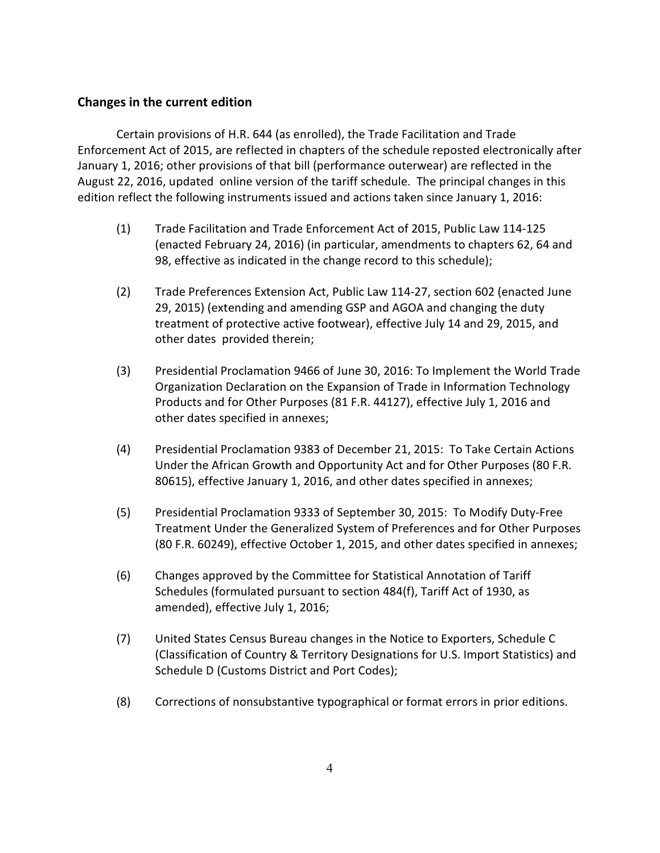## **Changes in the current edition**

Certain provisions of H.R. 644 (as enrolled), the Trade Facilitation and Trade Enforcement Act of 2015, are reflected in chapters of the schedule reposted electronically after January 1, 2016; other provisions of that bill (performance outerwear) are reflected in the August 22, 2016, updated online version of the tariff schedule. The principal changes in this edition reflect the following instruments issued and actions taken since January 1, 2016:

- (1) Trade Facilitation and Trade Enforcement Act of 2015, Public Law 114-125 (enacted February 24, 2016) (in particular, amendments to chapters 62, 64 and 98, effective as indicated in the change record to this schedule);
- (2) Trade Preferences Extension Act, Public Law 114-27, section 602 (enacted June 29, 2015) (extending and amending GSP and AGOA and changing the duty treatment of protective active footwear), effective July 14 and 29, 2015, and other dates provided therein;
- (3) Presidential Proclamation 9466 of June 30, 2016: To Implement the World Trade Organization Declaration on the Expansion of Trade in Information Technology Products and for Other Purposes (81 F.R. 44127), effective July 1, 2016 and other dates specified in annexes;
- (4) Presidential Proclamation 9383 of December 21, 2015: To Take Certain Actions Under the African Growth and Opportunity Act and for Other Purposes (80 F.R. 80615), effective January 1, 2016, and other dates specified in annexes;
- (5) Presidential Proclamation 9333 of September 30, 2015: To Modify Duty-Free Treatment Under the Generalized System of Preferences and for Other Purposes (80 F.R. 60249), effective October 1, 2015, and other dates specified in annexes;
- (6) Changes approved by the Committee for Statistical Annotation of Tariff Schedules (formulated pursuant to section 484(f), Tariff Act of 1930, as amended), effective July 1, 2016;
- (7) United States Census Bureau changes in the Notice to Exporters, Schedule C (Classification of Country & Territory Designations for U.S. Import Statistics) and Schedule D (Customs District and Port Codes);
- (8) Corrections of nonsubstantive typographical or format errors in prior editions.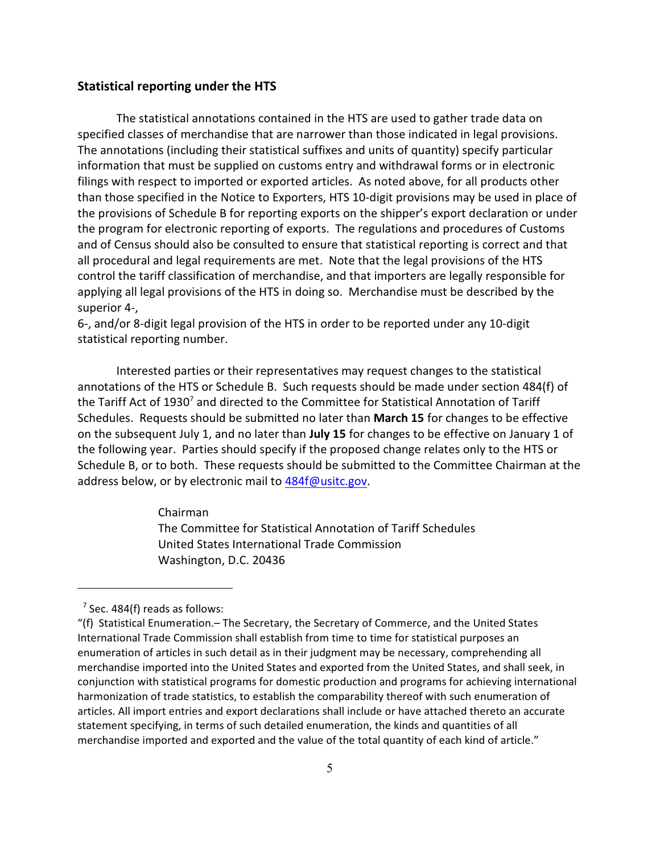## **Statistical reporting under the HTS**

The statistical annotations contained in the HTS are used to gather trade data on specified classes of merchandise that are narrower than those indicated in legal provisions. The annotations (including their statistical suffixes and units of quantity) specify particular information that must be supplied on customs entry and withdrawal forms or in electronic filings with respect to imported or exported articles. As noted above, for all products other than those specified in the Notice to Exporters, HTS 10-digit provisions may be used in place of the provisions of Schedule B for reporting exports on the shipper's export declaration or under the program for electronic reporting of exports. The regulations and procedures of Customs and of Census should also be consulted to ensure that statistical reporting is correct and that all procedural and legal requirements are met. Note that the legal provisions of the HTS control the tariff classification of merchandise, and that importers are legally responsible for applying all legal provisions of the HTS in doing so. Merchandise must be described by the superior 4-,

6-, and/or 8-digit legal provision of the HTS in order to be reported under any 10-digit statistical reporting number.

Interested parties or their representatives may request changes to the statistical annotations of the HTS or Schedule B. Such requests should be made under section 484(f) of the Tariff Act of 1930<sup>7</sup> and directed to the Committee for Statistical Annotation of Tariff Schedules. Requests should be submitted no later than **March 15** for changes to be effective on the subsequent July 1, and no later than **July 15** for changes to be effective on January 1 of the following year. Parties should specify if the proposed change relates only to the HTS or Schedule B, or to both. These requests should be submitted to the Committee Chairman at the address below, or by electronic mail to [484f@usitc.gov](mailto:484f@usitc.gov).

Chairman

 The Committee for Statistical Annotation of Tariff Schedules United States International Trade Commission Washington, D.C. 20436

 $^7$  Sec. 484(f) reads as follows:

<sup>&</sup>quot;(f) Statistical Enumeration.– The Secretary, the Secretary of Commerce, and the United States International Trade Commission shall establish from time to time for statistical purposes an enumeration of articles in such detail as in their judgment may be necessary, comprehending all merchandise imported into the United States and exported from the United States, and shall seek, in conjunction with statistical programs for domestic production and programs for achieving international harmonization of trade statistics, to establish the comparability thereof with such enumeration of articles. All import entries and export declarations shall include or have attached thereto an accurate statement specifying, in terms of such detailed enumeration, the kinds and quantities of all merchandise imported and exported and the value of the total quantity of each kind of article."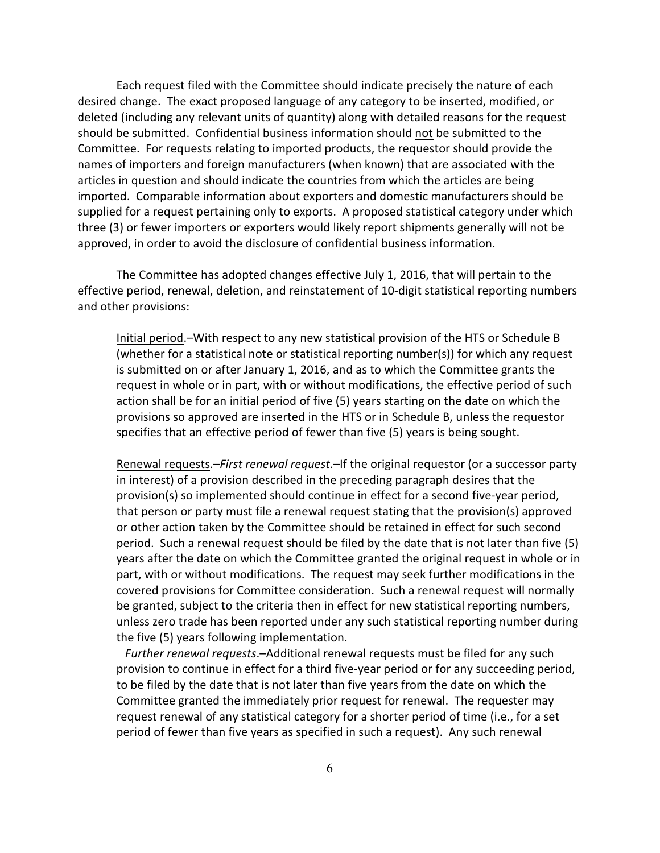Each request filed with the Committee should indicate precisely the nature of each desired change. The exact proposed language of any category to be inserted, modified, or deleted (including any relevant units of quantity) along with detailed reasons for the request should be submitted. Confidential business information should not be submitted to the Committee. For requests relating to imported products, the requestor should provide the names of importers and foreign manufacturers (when known) that are associated with the articles in question and should indicate the countries from which the articles are being imported. Comparable information about exporters and domestic manufacturers should be supplied for a request pertaining only to exports. A proposed statistical category under which three (3) or fewer importers or exporters would likely report shipments generally will not be approved, in order to avoid the disclosure of confidential business information.

The Committee has adopted changes effective July 1, 2016, that will pertain to the effective period, renewal, deletion, and reinstatement of 10-digit statistical reporting numbers and other provisions:

Initial period.–With respect to any new statistical provision of the HTS or Schedule B (whether for a statistical note or statistical reporting number(s)) for which any request is submitted on or after January 1, 2016, and as to which the Committee grants the request in whole or in part, with or without modifications, the effective period of such action shall be for an initial period of five (5) years starting on the date on which the provisions so approved are inserted in the HTS or in Schedule B, unless the requestor specifies that an effective period of fewer than five (5) years is being sought.

Renewal requests.–*First renewal request*.–If the original requestor (or a successor party in interest) of a provision described in the preceding paragraph desires that the provision(s) so implemented should continue in effect for a second five-year period, that person or party must file a renewal request stating that the provision(s) approved or other action taken by the Committee should be retained in effect for such second period. Such a renewal request should be filed by the date that is not later than five (5) years after the date on which the Committee granted the original request in whole or in part, with or without modifications. The request may seek further modifications in the covered provisions for Committee consideration. Such a renewal request will normally be granted, subject to the criteria then in effect for new statistical reporting numbers, unless zero trade has been reported under any such statistical reporting number during the five (5) years following implementation.

 *Further renewal requests*.–Additional renewal requests must be filed for any such provision to continue in effect for a third five-year period or for any succeeding period, to be filed by the date that is not later than five years from the date on which the Committee granted the immediately prior request for renewal. The requester may request renewal of any statistical category for a shorter period of time (i.e., for a set period of fewer than five years as specified in such a request). Any such renewal